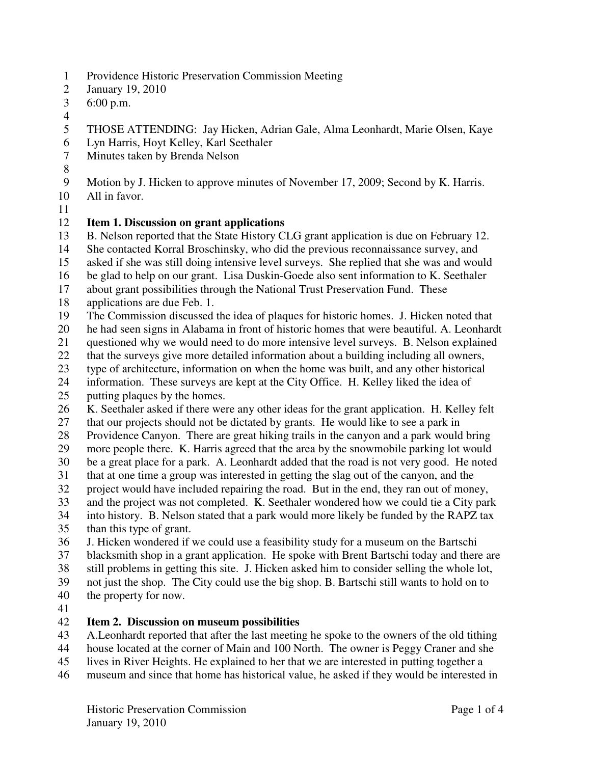- 1 Providence Historic Preservation Commission Meeting
- 2 January 19, 2010
- 3 6:00 p.m.
- 4
- 5 THOSE ATTENDING: Jay Hicken, Adrian Gale, Alma Leonhardt, Marie Olsen, Kaye
- 6 Lyn Harris, Hoyt Kelley, Karl Seethaler
- 7 Minutes taken by Brenda Nelson
- 8
- 9 Motion by J. Hicken to approve minutes of November 17, 2009; Second by K. Harris.
- 10 All in favor.
- 11

## 12 **Item 1. Discussion on grant applications**

- 13 B. Nelson reported that the State History CLG grant application is due on February 12.
- 14 She contacted Korral Broschinsky, who did the previous reconnaissance survey, and

15 asked if she was still doing intensive level surveys. She replied that she was and would

- 16 be glad to help on our grant. Lisa Duskin-Goede also sent information to K. Seethaler
- 17 about grant possibilities through the National Trust Preservation Fund. These
- 18 applications are due Feb. 1.
- 19 The Commission discussed the idea of plaques for historic homes. J. Hicken noted that
- 20 he had seen signs in Alabama in front of historic homes that were beautiful. A. Leonhardt
- 21 questioned why we would need to do more intensive level surveys. B. Nelson explained
- 22 that the surveys give more detailed information about a building including all owners,
- 23 type of architecture, information on when the home was built, and any other historical
- 24 information. These surveys are kept at the City Office. H. Kelley liked the idea of
- 25 putting plaques by the homes.
- 26 K. Seethaler asked if there were any other ideas for the grant application. H. Kelley felt 27 that our projects should not be dictated by grants. He would like to see a park in
- 28 Providence Canyon. There are great hiking trails in the canyon and a park would bring
- 29 more people there. K. Harris agreed that the area by the snowmobile parking lot would
- 30 be a great place for a park. A. Leonhardt added that the road is not very good. He noted
- 31 that at one time a group was interested in getting the slag out of the canyon, and the project would have included repairing the road. But in the end, they ran out of mone
- project would have included repairing the road. But in the end, they ran out of money,
- 33 and the project was not completed. K. Seethaler wondered how we could tie a City park
- 34 into history. B. Nelson stated that a park would more likely be funded by the RAPZ tax 35 than this type of grant.
- 36 J. Hicken wondered if we could use a feasibility study for a museum on the Bartschi
- 37 blacksmith shop in a grant application. He spoke with Brent Bartschi today and there are
- 38 still problems in getting this site. J. Hicken asked him to consider selling the whole lot,
- 39 not just the shop. The City could use the big shop. B. Bartschi still wants to hold on to
- 40 the property for now.
- 41

## 42 **Item 2. Discussion on museum possibilities**

- 43 A.Leonhardt reported that after the last meeting he spoke to the owners of the old tithing
- 44 house located at the corner of Main and 100 North. The owner is Peggy Craner and she
- 45 lives in River Heights. He explained to her that we are interested in putting together a
- 46 museum and since that home has historical value, he asked if they would be interested in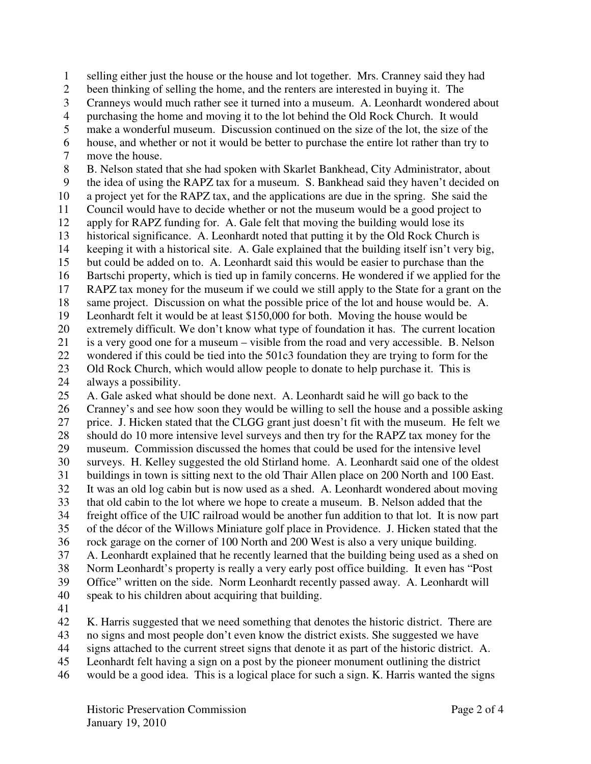1 selling either just the house or the house and lot together. Mrs. Cranney said they had

2 been thinking of selling the home, and the renters are interested in buying it. The

3 Cranneys would much rather see it turned into a museum. A. Leonhardt wondered about

4 purchasing the home and moving it to the lot behind the Old Rock Church. It would

5 make a wonderful museum. Discussion continued on the size of the lot, the size of the

6 house, and whether or not it would be better to purchase the entire lot rather than try to 7 move the house.

8 B. Nelson stated that she had spoken with Skarlet Bankhead, City Administrator, about 9 the idea of using the RAPZ tax for a museum. S. Bankhead said they haven't decided on

10 a project yet for the RAPZ tax, and the applications are due in the spring. She said the

11 Council would have to decide whether or not the museum would be a good project to

12 apply for RAPZ funding for. A. Gale felt that moving the building would lose its

13 historical significance. A. Leonhardt noted that putting it by the Old Rock Church is

14 keeping it with a historical site. A. Gale explained that the building itself isn't very big,

15 but could be added on to. A. Leonhardt said this would be easier to purchase than the

16 Bartschi property, which is tied up in family concerns. He wondered if we applied for the

17 RAPZ tax money for the museum if we could we still apply to the State for a grant on the

18 same project. Discussion on what the possible price of the lot and house would be. A.

19 Leonhardt felt it would be at least \$150,000 for both. Moving the house would be

20 extremely difficult. We don't know what type of foundation it has. The current location

21 is a very good one for a museum – visible from the road and very accessible. B. Nelson 22 wondered if this could be tied into the 501c3 foundation they are trying to form for the

23 Old Rock Church, which would allow people to donate to help purchase it. This is

24 always a possibility.

25 A. Gale asked what should be done next. A. Leonhardt said he will go back to the 26 Cranney's and see how soon they would be willing to sell the house and a possible asking 27 price. J. Hicken stated that the CLGG grant just doesn't fit with the museum. He felt we 28 should do 10 more intensive level surveys and then try for the RAPZ tax money for the

29 museum. Commission discussed the homes that could be used for the intensive level

30 surveys. H. Kelley suggested the old Stirland home. A. Leonhardt said one of the oldest

31 buildings in town is sitting next to the old Thair Allen place on 200 North and 100 East.

32 It was an old log cabin but is now used as a shed. A. Leonhardt wondered about moving

33 that old cabin to the lot where we hope to create a museum. B. Nelson added that the 34 freight office of the UIC railroad would be another fun addition to that lot. It is now part

35 of the décor of the Willows Miniature golf place in Providence. J. Hicken stated that the

36 rock garage on the corner of 100 North and 200 West is also a very unique building.

37 A. Leonhardt explained that he recently learned that the building being used as a shed on

38 Norm Leonhardt's property is really a very early post office building. It even has "Post 39 Office" written on the side. Norm Leonhardt recently passed away. A. Leonhardt will

40 speak to his children about acquiring that building.

41

42 K. Harris suggested that we need something that denotes the historic district. There are

43 no signs and most people don't even know the district exists. She suggested we have

44 signs attached to the current street signs that denote it as part of the historic district. A.

45 Leonhardt felt having a sign on a post by the pioneer monument outlining the district

46 would be a good idea. This is a logical place for such a sign. K. Harris wanted the signs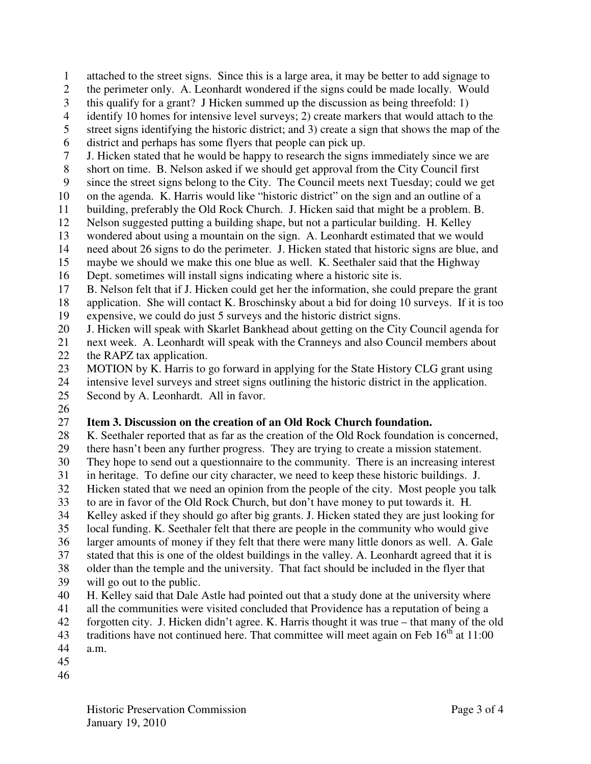- 1 attached to the street signs. Since this is a large area, it may be better to add signage to
- 2 the perimeter only. A. Leonhardt wondered if the signs could be made locally. Would
- 3 this qualify for a grant? J Hicken summed up the discussion as being threefold: 1)
- 4 identify 10 homes for intensive level surveys; 2) create markers that would attach to the
- 5 street signs identifying the historic district; and 3) create a sign that shows the map of the
- 6 district and perhaps has some flyers that people can pick up.
- 7 J. Hicken stated that he would be happy to research the signs immediately since we are
- 8 short on time. B. Nelson asked if we should get approval from the City Council first
- 9 since the street signs belong to the City. The Council meets next Tuesday; could we get
- 10 on the agenda. K. Harris would like "historic district" on the sign and an outline of a
- 11 building, preferably the Old Rock Church. J. Hicken said that might be a problem. B.
- 12 Nelson suggested putting a building shape, but not a particular building. H. Kelley
- 13 wondered about using a mountain on the sign. A. Leonhardt estimated that we would
- 14 need about 26 signs to do the perimeter. J. Hicken stated that historic signs are blue, and
- 15 maybe we should we make this one blue as well. K. Seethaler said that the Highway
- 16 Dept. sometimes will install signs indicating where a historic site is.
- 17 B. Nelson felt that if J. Hicken could get her the information, she could prepare the grant
- 18 application. She will contact K. Broschinsky about a bid for doing 10 surveys. If it is too 19 expensive, we could do just 5 surveys and the historic district signs.
- 20 J. Hicken will speak with Skarlet Bankhead about getting on the City Council agenda for
- 21 next week. A. Leonhardt will speak with the Cranneys and also Council members about
- 22 the RAPZ tax application.
- 23 MOTION by K. Harris to go forward in applying for the State History CLG grant using
- 24 intensive level surveys and street signs outlining the historic district in the application.
- 25 Second by A. Leonhardt. All in favor.
- 26

## 27 **Item 3. Discussion on the creation of an Old Rock Church foundation.**

- 28 K. Seethaler reported that as far as the creation of the Old Rock foundation is concerned,
- 29 there hasn't been any further progress. They are trying to create a mission statement.
- 30 They hope to send out a questionnaire to the community. There is an increasing interest
- 31 in heritage. To define our city character, we need to keep these historic buildings. J.
- 32 Hicken stated that we need an opinion from the people of the city. Most people you talk 33 to are in favor of the Old Rock Church, but don't have money to put towards it. H.
- 34 Kelley asked if they should go after big grants. J. Hicken stated they are just looking for
- 35 local funding. K. Seethaler felt that there are people in the community who would give
- 36 larger amounts of money if they felt that there were many little donors as well. A. Gale
- 37 stated that this is one of the oldest buildings in the valley. A. Leonhardt agreed that it is
- 38 older than the temple and the university. That fact should be included in the flyer that
- 39 will go out to the public.
- 40 H. Kelley said that Dale Astle had pointed out that a study done at the university where
- 41 all the communities were visited concluded that Providence has a reputation of being a
- 42 forgotten city. J. Hicken didn't agree. K. Harris thought it was true that many of the old
- 43 traditions have not continued here. That committee will meet again on Feb  $16^{th}$  at 11:00
- 44 a.m.
- 45
- 46